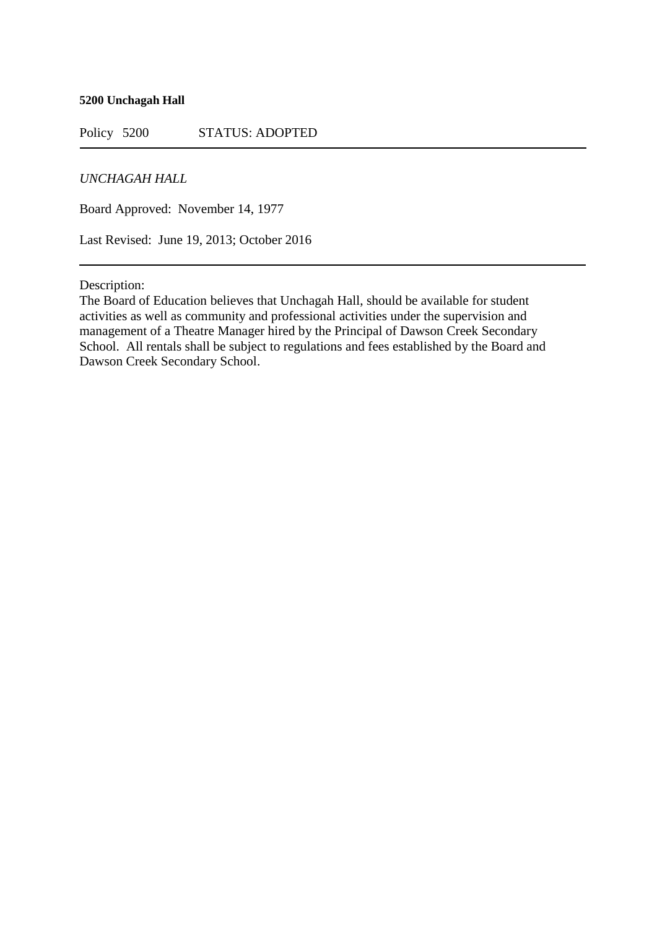#### **5200 Unchagah Hall**

Policy 5200 STATUS: ADOPTED

# *UNCHAGAH HALL*

Board Approved: November 14, 1977

Last Revised: June 19, 2013; October 2016

Description:

The Board of Education believes that Unchagah Hall, should be available for student activities as well as community and professional activities under the supervision and management of a Theatre Manager hired by the Principal of Dawson Creek Secondary School. All rentals shall be subject to regulations and fees established by the Board and Dawson Creek Secondary School.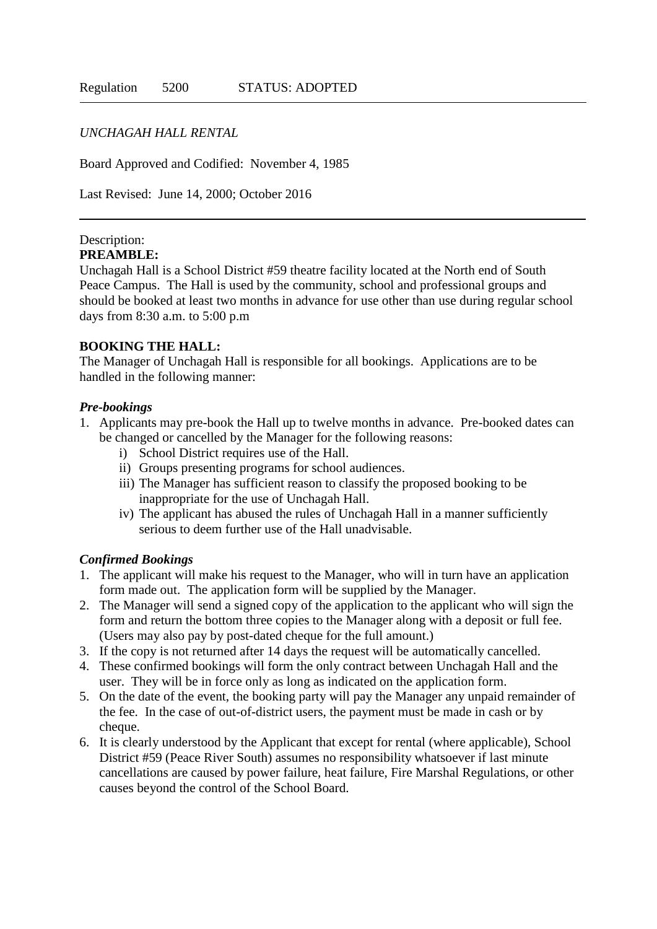### *UNCHAGAH HALL RENTAL*

Board Approved and Codified: November 4, 1985

Last Revised: June 14, 2000; October 2016

#### Description: **PREAMBLE:**

Unchagah Hall is a School District #59 theatre facility located at the North end of South Peace Campus. The Hall is used by the community, school and professional groups and should be booked at least two months in advance for use other than use during regular school days from 8:30 a.m. to 5:00 p.m

### **BOOKING THE HALL:**

The Manager of Unchagah Hall is responsible for all bookings. Applications are to be handled in the following manner:

### *Pre-bookings*

- 1. Applicants may pre-book the Hall up to twelve months in advance. Pre-booked dates can be changed or cancelled by the Manager for the following reasons:
	- i) School District requires use of the Hall.
	- ii) Groups presenting programs for school audiences.
	- iii) The Manager has sufficient reason to classify the proposed booking to be inappropriate for the use of Unchagah Hall.
	- iv) The applicant has abused the rules of Unchagah Hall in a manner sufficiently serious to deem further use of the Hall unadvisable.

### *Confirmed Bookings*

- 1. The applicant will make his request to the Manager, who will in turn have an application form made out. The application form will be supplied by the Manager.
- 2. The Manager will send a signed copy of the application to the applicant who will sign the form and return the bottom three copies to the Manager along with a deposit or full fee. (Users may also pay by post-dated cheque for the full amount.)
- 3. If the copy is not returned after 14 days the request will be automatically cancelled.
- 4. These confirmed bookings will form the only contract between Unchagah Hall and the user. They will be in force only as long as indicated on the application form.
- 5. On the date of the event, the booking party will pay the Manager any unpaid remainder of the fee. In the case of out-of-district users, the payment must be made in cash or by cheque.
- 6. It is clearly understood by the Applicant that except for rental (where applicable), School District #59 (Peace River South) assumes no responsibility whatsoever if last minute cancellations are caused by power failure, heat failure, Fire Marshal Regulations, or other causes beyond the control of the School Board.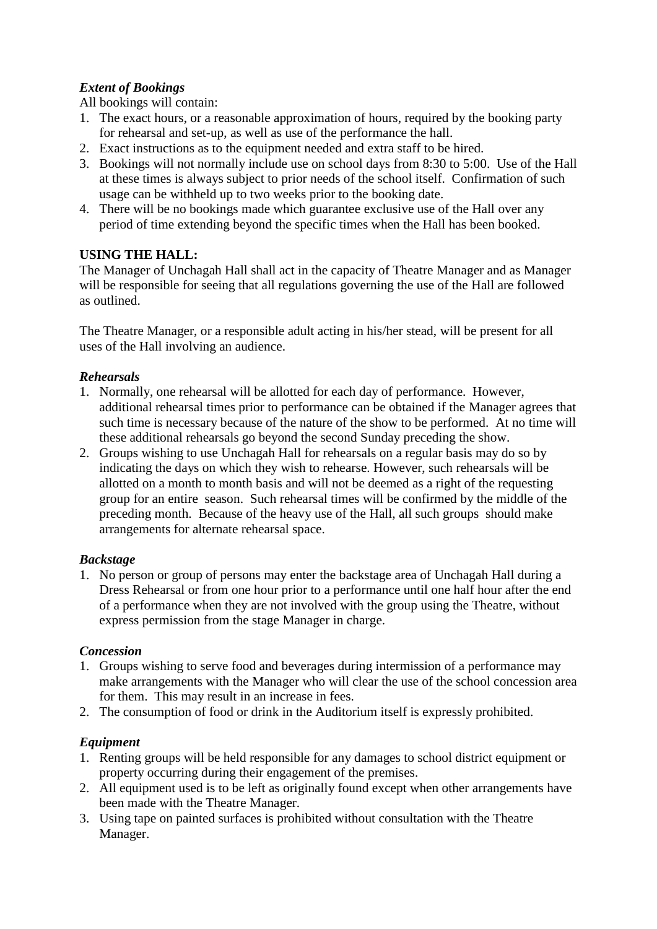# *Extent of Bookings*

All bookings will contain:

- 1. The exact hours, or a reasonable approximation of hours, required by the booking party for rehearsal and set-up, as well as use of the performance the hall.
- 2. Exact instructions as to the equipment needed and extra staff to be hired.
- 3. Bookings will not normally include use on school days from 8:30 to 5:00. Use of the Hall at these times is always subject to prior needs of the school itself. Confirmation of such usage can be withheld up to two weeks prior to the booking date.
- 4. There will be no bookings made which guarantee exclusive use of the Hall over any period of time extending beyond the specific times when the Hall has been booked.

# **USING THE HALL:**

The Manager of Unchagah Hall shall act in the capacity of Theatre Manager and as Manager will be responsible for seeing that all regulations governing the use of the Hall are followed as outlined.

The Theatre Manager, or a responsible adult acting in his/her stead, will be present for all uses of the Hall involving an audience.

# *Rehearsals*

- 1. Normally, one rehearsal will be allotted for each day of performance. However, additional rehearsal times prior to performance can be obtained if the Manager agrees that such time is necessary because of the nature of the show to be performed. At no time will these additional rehearsals go beyond the second Sunday preceding the show.
- 2. Groups wishing to use Unchagah Hall for rehearsals on a regular basis may do so by indicating the days on which they wish to rehearse. However, such rehearsals will be allotted on a month to month basis and will not be deemed as a right of the requesting group for an entire season. Such rehearsal times will be confirmed by the middle of the preceding month. Because of the heavy use of the Hall, all such groups should make arrangements for alternate rehearsal space.

# *Backstage*

1. No person or group of persons may enter the backstage area of Unchagah Hall during a Dress Rehearsal or from one hour prior to a performance until one half hour after the end of a performance when they are not involved with the group using the Theatre, without express permission from the stage Manager in charge.

# *Concession*

- 1. Groups wishing to serve food and beverages during intermission of a performance may make arrangements with the Manager who will clear the use of the school concession area for them. This may result in an increase in fees.
- 2. The consumption of food or drink in the Auditorium itself is expressly prohibited.

# *Equipment*

- 1. Renting groups will be held responsible for any damages to school district equipment or property occurring during their engagement of the premises.
- 2. All equipment used is to be left as originally found except when other arrangements have been made with the Theatre Manager.
- 3. Using tape on painted surfaces is prohibited without consultation with the Theatre Manager.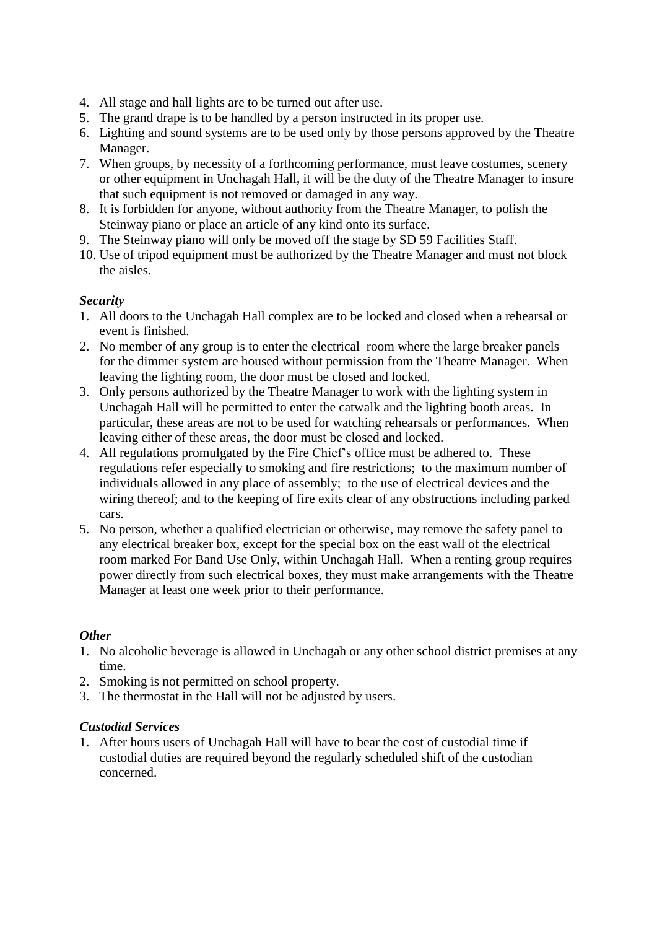- 4. All stage and hall lights are to be turned out after use.
- 5. The grand drape is to be handled by a person instructed in its proper use.
- 6. Lighting and sound systems are to be used only by those persons approved by the Theatre Manager.
- 7. When groups, by necessity of a forthcoming performance, must leave costumes, scenery or other equipment in Unchagah Hall, it will be the duty of the Theatre Manager to insure that such equipment is not removed or damaged in any way.
- 8. It is forbidden for anyone, without authority from the Theatre Manager, to polish the Steinway piano or place an article of any kind onto its surface.
- 9. The Steinway piano will only be moved off the stage by SD 59 Facilities Staff.
- 10. Use of tripod equipment must be authorized by the Theatre Manager and must not block the aisles.

# *Security*

- 1. All doors to the Unchagah Hall complex are to be locked and closed when a rehearsal or event is finished.
- 2. No member of any group is to enter the electrical room where the large breaker panels for the dimmer system are housed without permission from the Theatre Manager. When leaving the lighting room, the door must be closed and locked.
- 3. Only persons authorized by the Theatre Manager to work with the lighting system in Unchagah Hall will be permitted to enter the catwalk and the lighting booth areas. In particular, these areas are not to be used for watching rehearsals or performances. When leaving either of these areas, the door must be closed and locked.
- 4. All regulations promulgated by the Fire Chief's office must be adhered to. These regulations refer especially to smoking and fire restrictions; to the maximum number of individuals allowed in any place of assembly; to the use of electrical devices and the wiring thereof; and to the keeping of fire exits clear of any obstructions including parked cars.
- 5. No person, whether a qualified electrician or otherwise, may remove the safety panel to any electrical breaker box, except for the special box on the east wall of the electrical room marked For Band Use Only, within Unchagah Hall. When a renting group requires power directly from such electrical boxes, they must make arrangements with the Theatre Manager at least one week prior to their performance.

### *Other*

- 1. No alcoholic beverage is allowed in Unchagah or any other school district premises at any time.
- 2. Smoking is not permitted on school property.
- 3. The thermostat in the Hall will not be adjusted by users.

### *Custodial Services*

1. After hours users of Unchagah Hall will have to bear the cost of custodial time if custodial duties are required beyond the regularly scheduled shift of the custodian concerned.